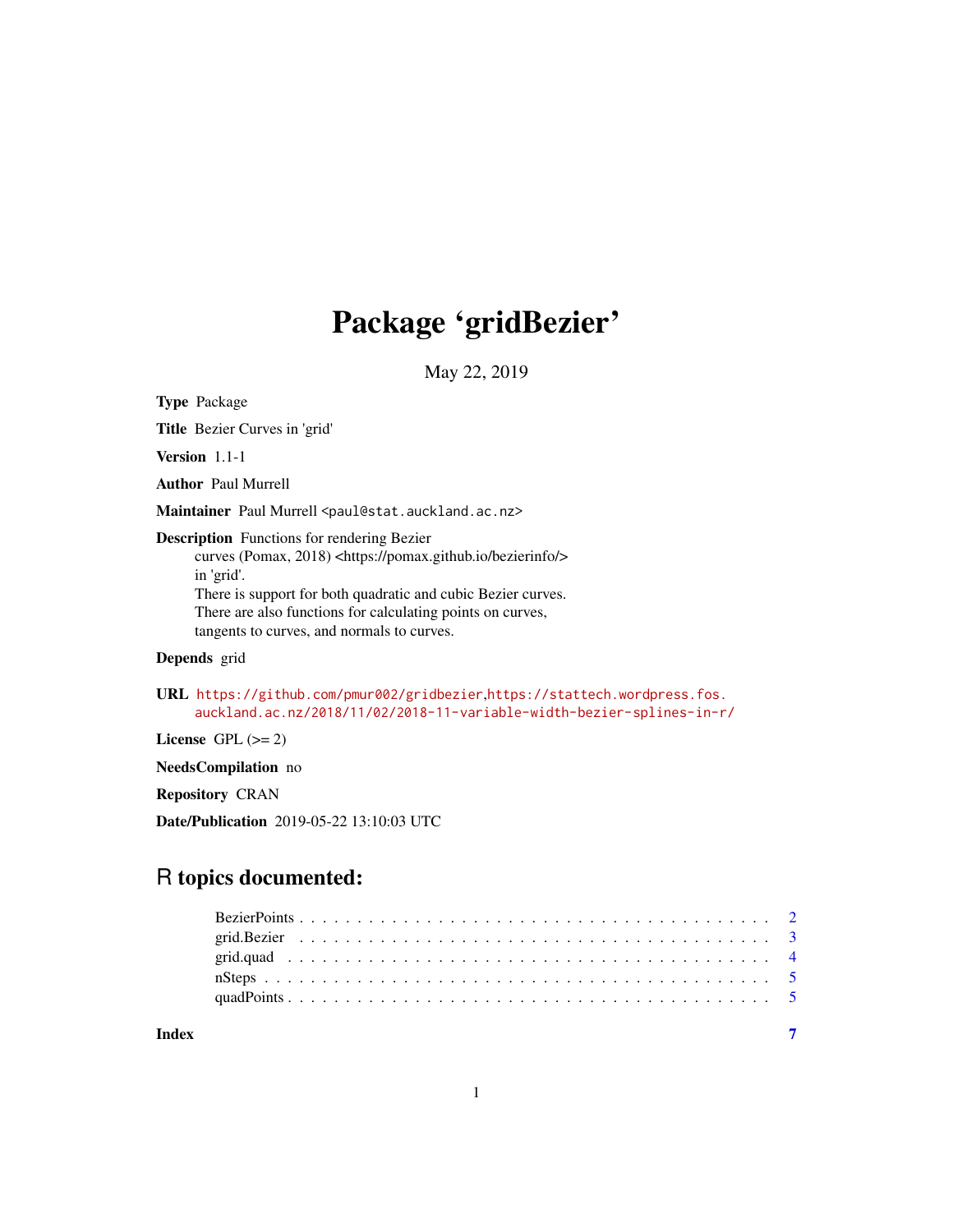## Package 'gridBezier'

May 22, 2019

Type Package

Title Bezier Curves in 'grid'

Version 1.1-1

Author Paul Murrell

Maintainer Paul Murrell <paul@stat.auckland.ac.nz>

Description Functions for rendering Bezier

curves (Pomax, 2018) <https://pomax.github.io/bezierinfo/> in 'grid'. There is support for both quadratic and cubic Bezier curves. There are also functions for calculating points on curves,

tangents to curves, and normals to curves.

#### Depends grid

URL <https://github.com/pmur002/gridbezier>,[https://stattech.wordpress.fos.](https://stattech.wordpress.fos.auckland.ac.nz/2018/11/02/2018-11-variable-width-bezier-splines-in-r/) [auckland.ac.nz/2018/11/02/2018-11-variable-width-bezier-splines-in-r/](https://stattech.wordpress.fos.auckland.ac.nz/2018/11/02/2018-11-variable-width-bezier-splines-in-r/)

License GPL  $(>= 2)$ 

NeedsCompilation no

Repository CRAN

Date/Publication 2019-05-22 13:10:03 UTC

### R topics documented:

| Index |  |  |  |  |  |  |  |  |  |  |  |  |  |  |  |  |  |  |  |  |
|-------|--|--|--|--|--|--|--|--|--|--|--|--|--|--|--|--|--|--|--|--|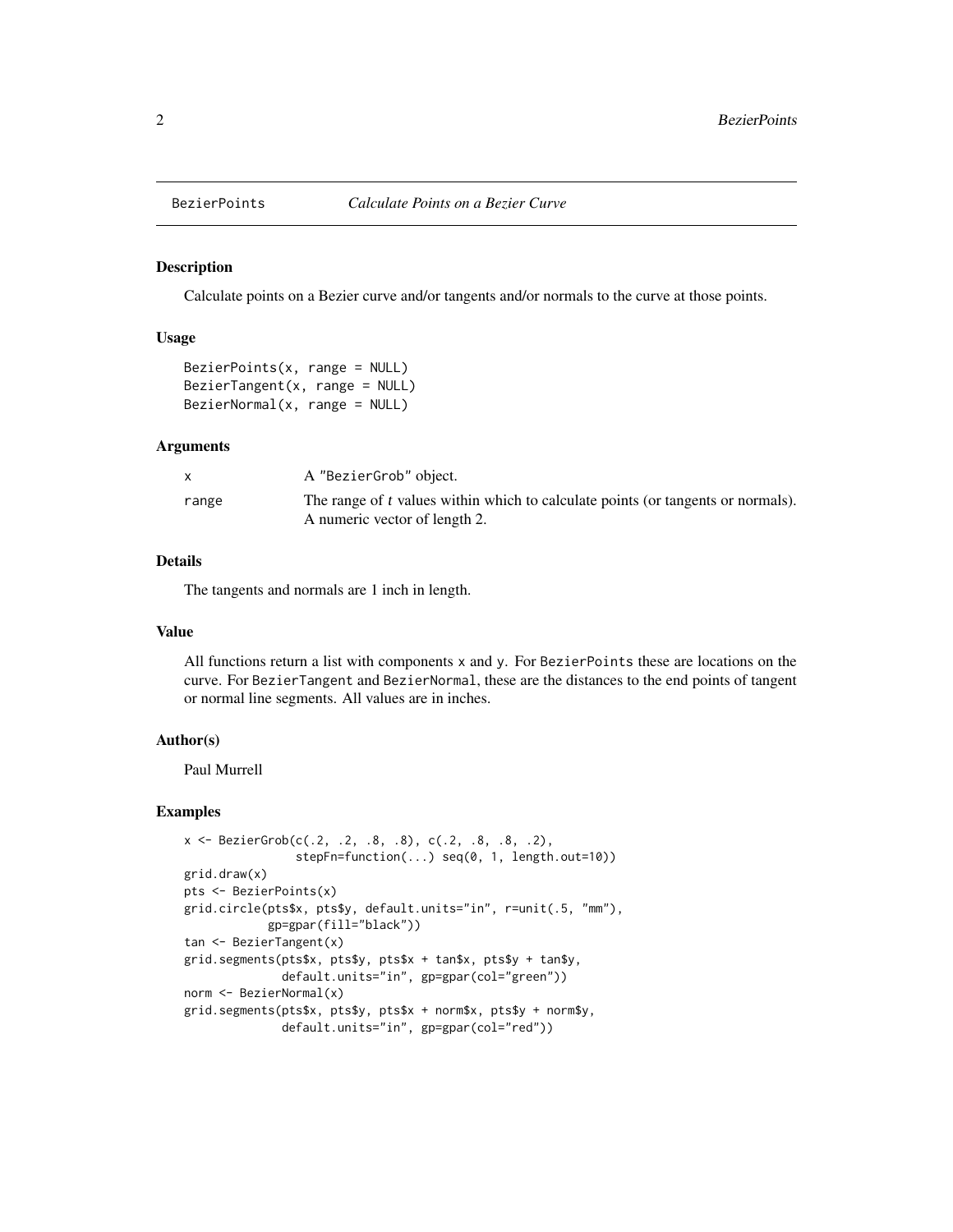<span id="page-1-0"></span>

Calculate points on a Bezier curve and/or tangents and/or normals to the curve at those points.

#### Usage

```
BezierPoints(x, range = NULL)
BezierTangent(x, range = NULL)
BezierNormal(x, range = NULL)
```
#### Arguments

|       | A "BezierGrob" object.                                                                                            |
|-------|-------------------------------------------------------------------------------------------------------------------|
| range | The range of t values within which to calculate points (or tangents or normals).<br>A numeric vector of length 2. |

#### Details

The tangents and normals are 1 inch in length.

#### Value

All functions return a list with components x and y. For BezierPoints these are locations on the curve. For BezierTangent and BezierNormal, these are the distances to the end points of tangent or normal line segments. All values are in inches.

#### Author(s)

Paul Murrell

#### Examples

```
x \leq BezierGrob(c(.2, .2, .8, .8), c(.2, .8, .8, .2),
                stepFn=function(...) seq(0, 1, length.out=10))
grid.draw(x)
pts <- BezierPoints(x)
grid.circle(pts$x, pts$y, default.units="in", r=unit(.5, "mm"),
            gp=gpar(fill="black"))
tan <- BezierTangent(x)
grid.segments(pts$x, pts$y, pts$x + tan$x, pts$y + tan$y,
              default.units="in", gp=gpar(col="green"))
norm <- BezierNormal(x)
grid.segments(pts$x, pts$y, pts$x + norm$x, pts$y + norm$y,
              default.units="in", gp=gpar(col="red"))
```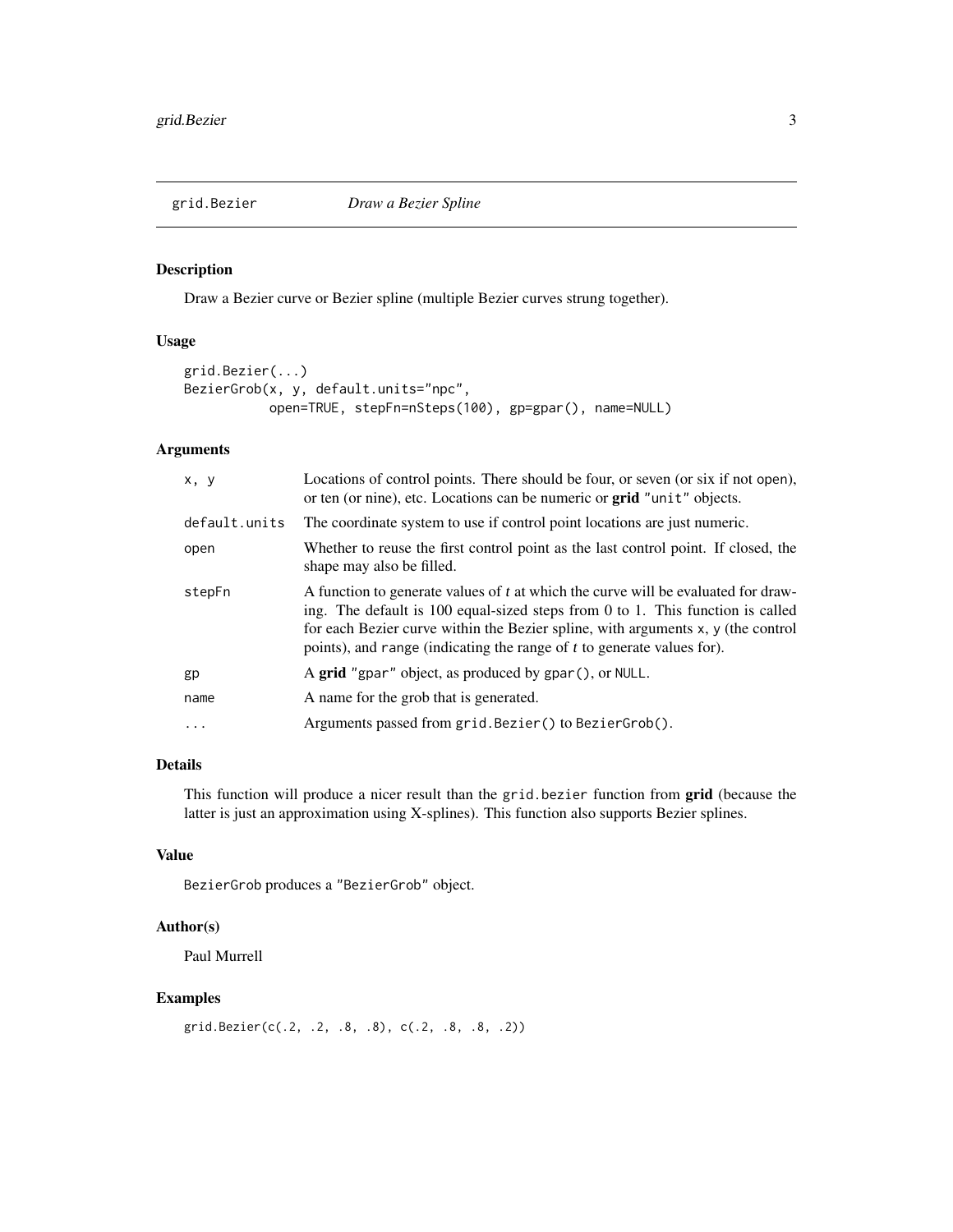<span id="page-2-1"></span><span id="page-2-0"></span>

Draw a Bezier curve or Bezier spline (multiple Bezier curves strung together).

#### Usage

```
grid.Bezier(...)
BezierGrob(x, y, default.units="npc",
          open=TRUE, stepFn=nSteps(100), gp=gpar(), name=NULL)
```
#### Arguments

| x, y          | Locations of control points. There should be four, or seven (or six if not open),<br>or ten (or nine), etc. Locations can be numeric or grid "unit" objects.                                                                                                                                                                      |
|---------------|-----------------------------------------------------------------------------------------------------------------------------------------------------------------------------------------------------------------------------------------------------------------------------------------------------------------------------------|
| default.units | The coordinate system to use if control point locations are just numeric.                                                                                                                                                                                                                                                         |
| open          | Whether to reuse the first control point as the last control point. If closed, the<br>shape may also be filled.                                                                                                                                                                                                                   |
| stepFn        | A function to generate values of t at which the curve will be evaluated for draw-<br>ing. The default is 100 equal-sized steps from 0 to 1. This function is called<br>for each Bezier curve within the Bezier spline, with arguments x, y (the control<br>points), and range (indicating the range of t to generate values for). |
| gp            | A grid "gpar" object, as produced by gpar(), or NULL.                                                                                                                                                                                                                                                                             |
| name          | A name for the grob that is generated.                                                                                                                                                                                                                                                                                            |
| $\ddotsc$     | Arguments passed from grid. Bezier() to BezierGrob().                                                                                                                                                                                                                                                                             |
|               |                                                                                                                                                                                                                                                                                                                                   |

#### Details

This function will produce a nicer result than the grid.bezier function from grid (because the latter is just an approximation using X-splines). This function also supports Bezier splines.

#### Value

BezierGrob produces a "BezierGrob" object.

#### Author(s)

Paul Murrell

#### Examples

```
grid.Bezier(c(.2, .2, .8, .8), c(.2, .8, .8, .2))
```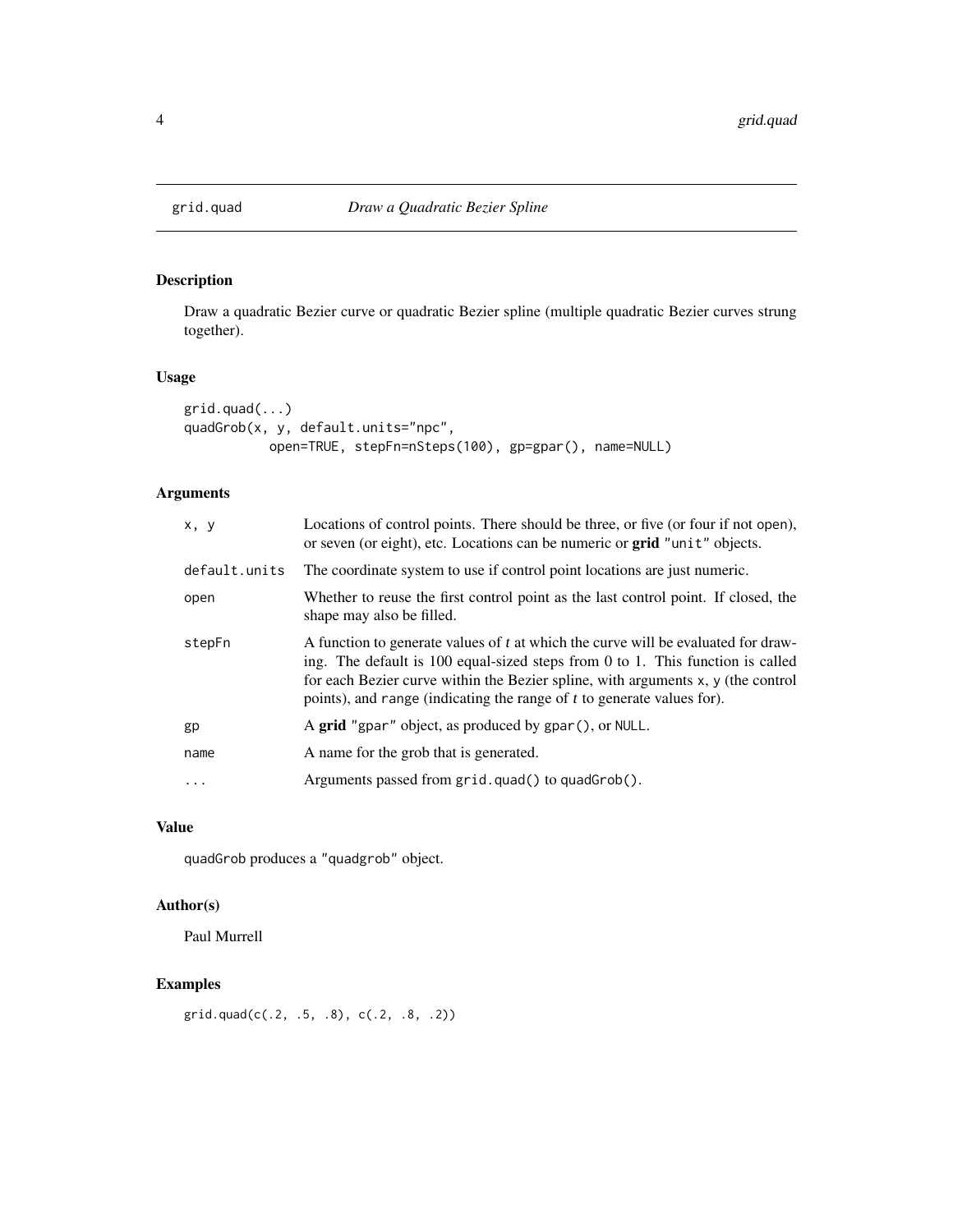<span id="page-3-0"></span>

Draw a quadratic Bezier curve or quadratic Bezier spline (multiple quadratic Bezier curves strung together).

#### Usage

```
grid.quad(...)
quadGrob(x, y, default.units="npc",
           open=TRUE, stepFn=nSteps(100), gp=gpar(), name=NULL)
```
#### Arguments

| x, y          | Locations of control points. There should be three, or five (or four if not open),<br>or seven (or eight), etc. Locations can be numeric or grid "unit" objects.                                                                                                                                                                  |
|---------------|-----------------------------------------------------------------------------------------------------------------------------------------------------------------------------------------------------------------------------------------------------------------------------------------------------------------------------------|
| default.units | The coordinate system to use if control point locations are just numeric.                                                                                                                                                                                                                                                         |
| open          | Whether to reuse the first control point as the last control point. If closed, the<br>shape may also be filled.                                                                                                                                                                                                                   |
| stepFn        | A function to generate values of t at which the curve will be evaluated for draw-<br>ing. The default is 100 equal-sized steps from 0 to 1. This function is called<br>for each Bezier curve within the Bezier spline, with arguments x, y (the control<br>points), and range (indicating the range of t to generate values for). |
| gp            | A grid "gpar" object, as produced by gpar(), or NULL.                                                                                                                                                                                                                                                                             |
| name          | A name for the grob that is generated.                                                                                                                                                                                                                                                                                            |
| $\ddots$      | Arguments passed from grid.quad() to quadGrob().                                                                                                                                                                                                                                                                                  |

#### Value

quadGrob produces a "quadgrob" object.

#### Author(s)

Paul Murrell

#### Examples

grid.quad(c(.2, .5, .8), c(.2, .8, .2))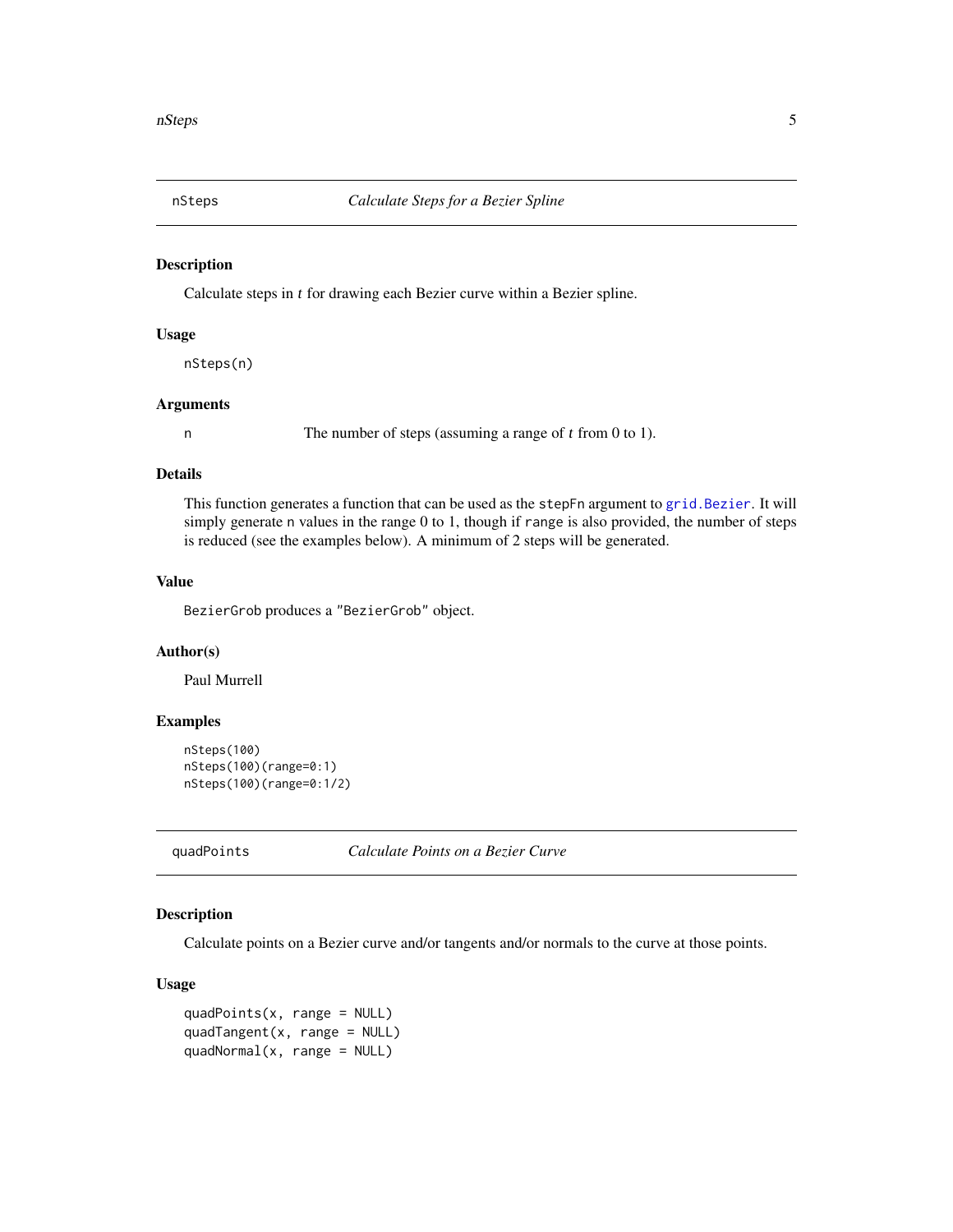<span id="page-4-0"></span>

Calculate steps in t for drawing each Bezier curve within a Bezier spline.

#### Usage

nSteps(n)

#### Arguments

n The number of steps (assuming a range of t from 0 to 1).

#### Details

This function generates a function that can be used as the stepFn argument to [grid.Bezier](#page-2-1). It will simply generate n values in the range 0 to 1, though if range is also provided, the number of steps is reduced (see the examples below). A minimum of 2 steps will be generated.

#### Value

BezierGrob produces a "BezierGrob" object.

#### Author(s)

Paul Murrell

#### Examples

```
nSteps(100)
nSteps(100)(range=0:1)
nSteps(100)(range=0:1/2)
```
quadPoints *Calculate Points on a Bezier Curve*

#### Description

Calculate points on a Bezier curve and/or tangents and/or normals to the curve at those points.

#### Usage

quad $Points(x, range = NULL)$ quadTangent( $x$ , range = NULL) quadNormal(x, range = NULL)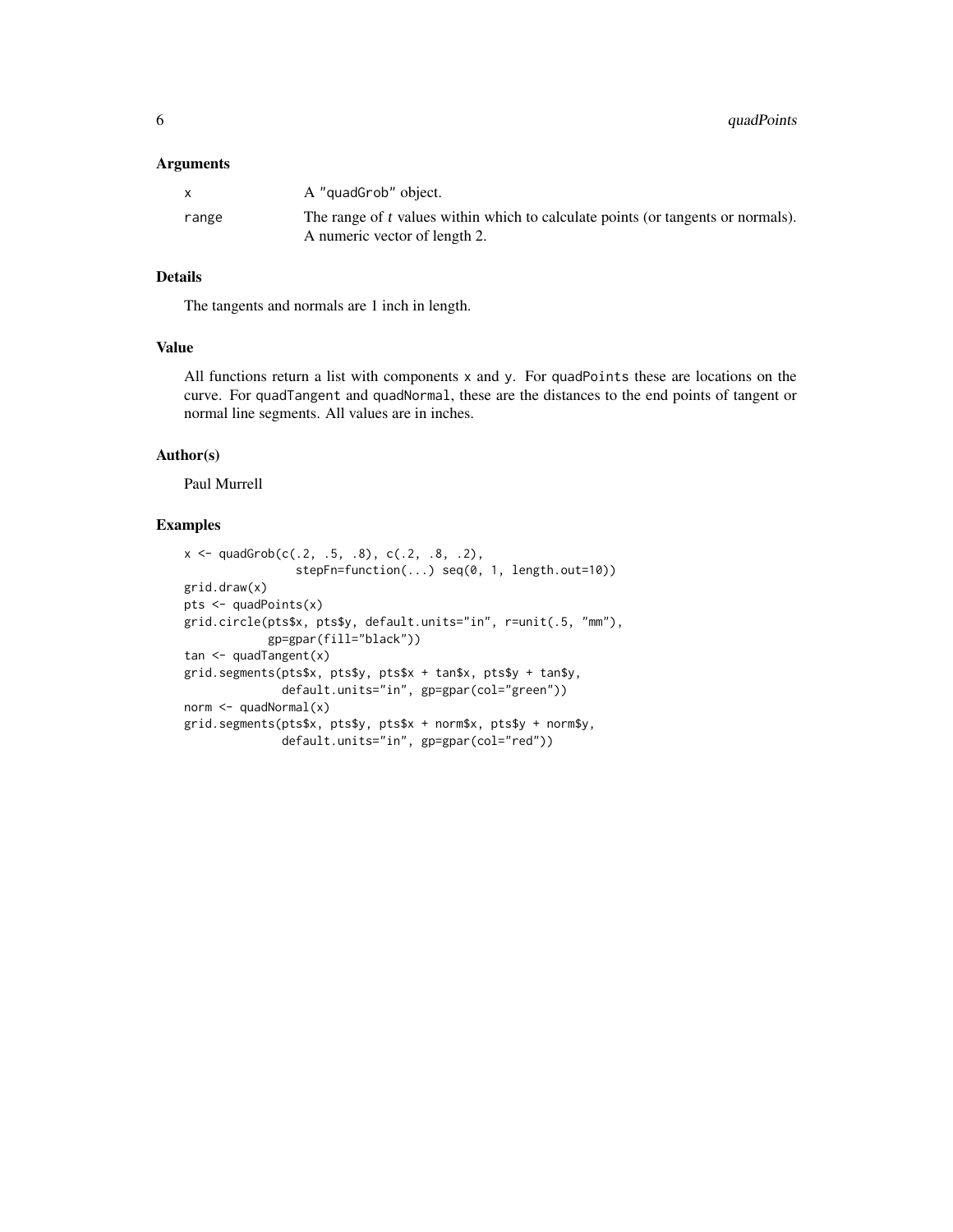#### Arguments

|       | A "quadGrob" object.                                                                                              |
|-------|-------------------------------------------------------------------------------------------------------------------|
| range | The range of t values within which to calculate points (or tangents or normals).<br>A numeric vector of length 2. |

#### Details

The tangents and normals are 1 inch in length.

#### Value

All functions return a list with components x and y. For quadPoints these are locations on the curve. For quadTangent and quadNormal, these are the distances to the end points of tangent or normal line segments. All values are in inches.

#### Author(s)

Paul Murrell

#### Examples

```
x \leq -q quadGrob(c(.2, .5, .8), c(.2, .8, .2),
                stepFn=function(...) seq(0, 1, length.out=10))
grid.draw(x)
pts <- quadPoints(x)
grid.circle(pts$x, pts$y, default.units="in", r=unit(.5, "mm"),
            gp=gpar(fill="black"))
tan \leq quadTangent(x)
grid.segments(pts$x, pts$y, pts$x + tan$x, pts$y + tan$y,
              default.units="in", gp=gpar(col="green"))
norm <- quadNormal(x)
grid.segments(pts$x, pts$y, pts$x + norm$x, pts$y + norm$y,
              default.units="in", gp=gpar(col="red"))
```